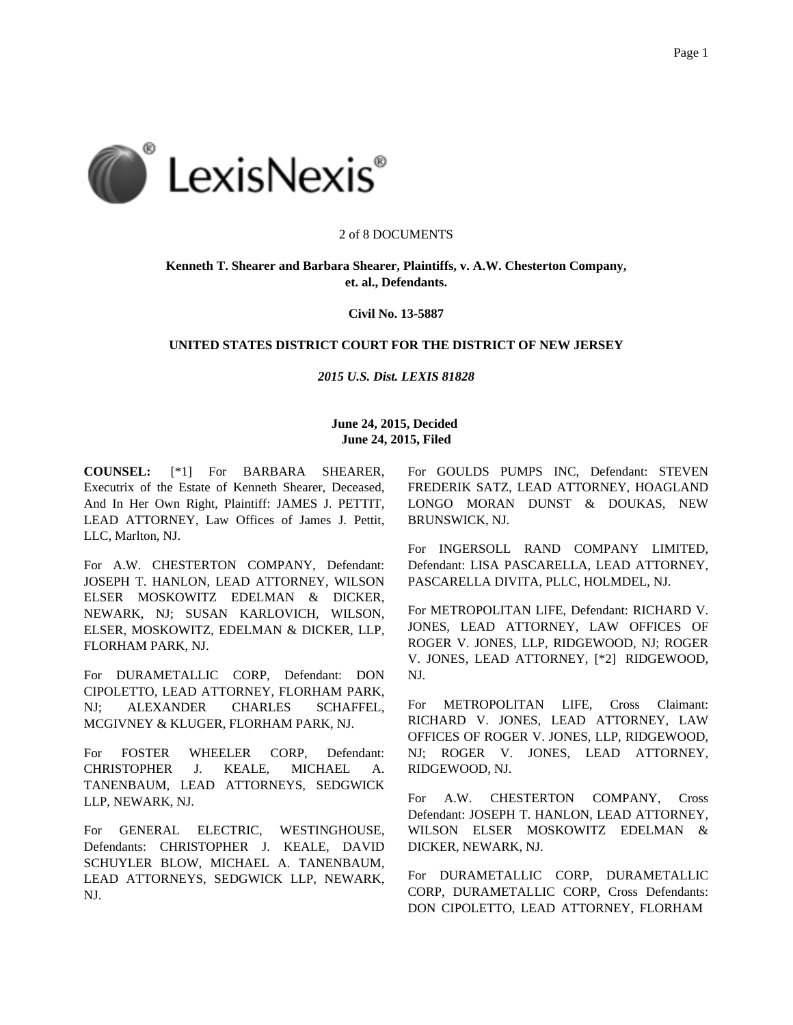

# 2 of 8 DOCUMENTS

# **Kenneth T. Shearer and Barbara Shearer, Plaintiffs, v. A.W. Chesterton Company, et. al., Defendants.**

**Civil No. 13-5887**

# **UNITED STATES DISTRICT COURT FOR THE DISTRICT OF NEW JERSEY**

# *2015 U.S. Dist. LEXIS 81828*

# **June 24, 2015, Decided June 24, 2015, Filed**

**COUNSEL:** [\*1] For BARBARA SHEARER, Executrix of the Estate of Kenneth Shearer, Deceased, And In Her Own Right, Plaintiff: JAMES J. PETTIT, LEAD ATTORNEY, Law Offices of James J. Pettit, LLC, Marlton, NJ.

For A.W. CHESTERTON COMPANY, Defendant: JOSEPH T. HANLON, LEAD ATTORNEY, WILSON ELSER MOSKOWITZ EDELMAN & DICKER, NEWARK, NJ; SUSAN KARLOVICH, WILSON, ELSER, MOSKOWITZ, EDELMAN & DICKER, LLP, FLORHAM PARK, NJ.

For DURAMETALLIC CORP, Defendant: DON CIPOLETTO, LEAD ATTORNEY, FLORHAM PARK, NJ; ALEXANDER CHARLES SCHAFFEL, MCGIVNEY & KLUGER, FLORHAM PARK, NJ.

For FOSTER WHEELER CORP, Defendant: CHRISTOPHER J. KEALE, MICHAEL A. TANENBAUM, LEAD ATTORNEYS, SEDGWICK LLP, NEWARK, NJ.

For GENERAL ELECTRIC, WESTINGHOUSE, Defendants: CHRISTOPHER J. KEALE, DAVID SCHUYLER BLOW, MICHAEL A. TANENBAUM, LEAD ATTORNEYS, SEDGWICK LLP, NEWARK, NJ.

For GOULDS PUMPS INC, Defendant: STEVEN FREDERIK SATZ, LEAD ATTORNEY, HOAGLAND LONGO MORAN DUNST & DOUKAS, NEW BRUNSWICK, NJ.

For INGERSOLL RAND COMPANY LIMITED, Defendant: LISA PASCARELLA, LEAD ATTORNEY, PASCARELLA DIVITA, PLLC, HOLMDEL, NJ.

For METROPOLITAN LIFE, Defendant: RICHARD V. JONES, LEAD ATTORNEY, LAW OFFICES OF ROGER V. JONES, LLP, RIDGEWOOD, NJ; ROGER V. JONES, LEAD ATTORNEY, [\*2] RIDGEWOOD, NJ.

For METROPOLITAN LIFE, Cross Claimant: RICHARD V. JONES, LEAD ATTORNEY, LAW OFFICES OF ROGER V. JONES, LLP, RIDGEWOOD, NJ; ROGER V. JONES, LEAD ATTORNEY, RIDGEWOOD, NJ.

For A.W. CHESTERTON COMPANY, Cross Defendant: JOSEPH T. HANLON, LEAD ATTORNEY, WILSON ELSER MOSKOWITZ EDELMAN & DICKER, NEWARK, NJ.

For DURAMETALLIC CORP, DURAMETALLIC CORP, DURAMETALLIC CORP, Cross Defendants: DON CIPOLETTO, LEAD ATTORNEY, FLORHAM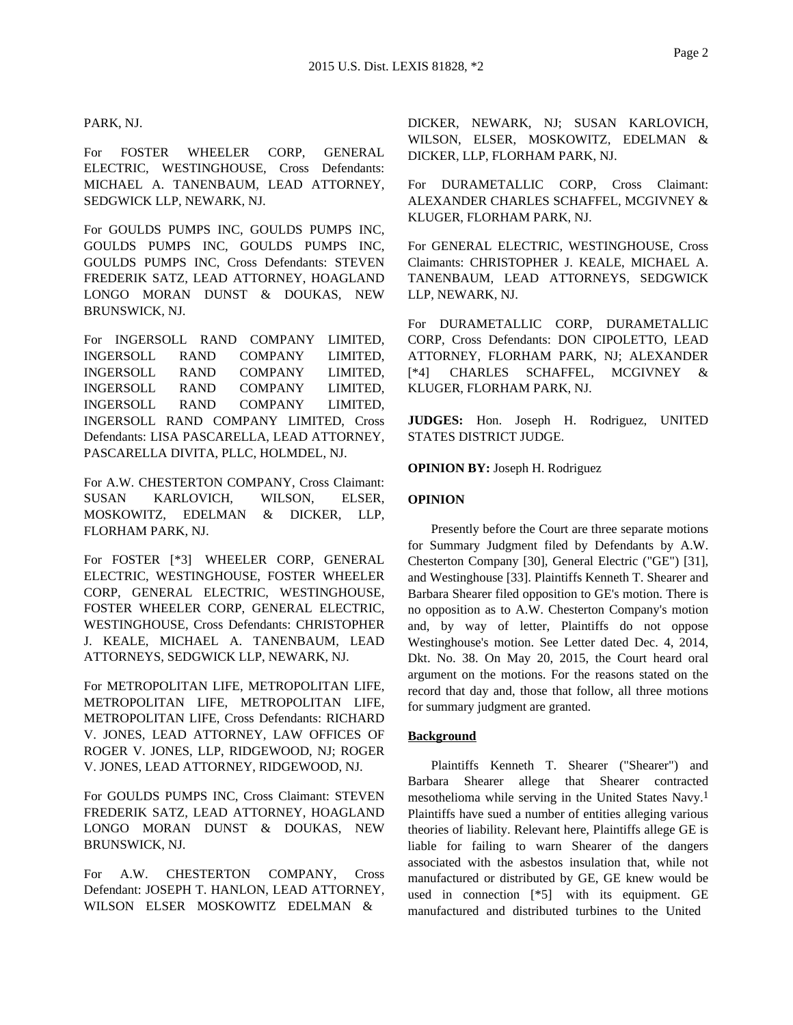## PARK, NJ.

For FOSTER WHEELER CORP, GENERAL ELECTRIC, WESTINGHOUSE, Cross Defendants: MICHAEL A. TANENBAUM, LEAD ATTORNEY, SEDGWICK LLP, NEWARK, NJ.

For GOULDS PUMPS INC, GOULDS PUMPS INC, GOULDS PUMPS INC, GOULDS PUMPS INC, GOULDS PUMPS INC, Cross Defendants: STEVEN FREDERIK SATZ, LEAD ATTORNEY, HOAGLAND LONGO MORAN DUNST & DOUKAS, NEW BRUNSWICK, NJ.

For INGERSOLL RAND COMPANY LIMITED, INGERSOLL RAND COMPANY LIMITED, INGERSOLL RAND COMPANY LIMITED, INGERSOLL RAND COMPANY LIMITED, INGERSOLL RAND COMPANY LIMITED, INGERSOLL RAND COMPANY LIMITED, Cross Defendants: LISA PASCARELLA, LEAD ATTORNEY, PASCARELLA DIVITA, PLLC, HOLMDEL, NJ.

For A.W. CHESTERTON COMPANY, Cross Claimant: SUSAN KARLOVICH, WILSON, ELSER, MOSKOWITZ, EDELMAN & DICKER, LLP, FLORHAM PARK, NJ.

For FOSTER [\*3] WHEELER CORP, GENERAL ELECTRIC, WESTINGHOUSE, FOSTER WHEELER CORP, GENERAL ELECTRIC, WESTINGHOUSE, FOSTER WHEELER CORP, GENERAL ELECTRIC, WESTINGHOUSE, Cross Defendants: CHRISTOPHER J. KEALE, MICHAEL A. TANENBAUM, LEAD ATTORNEYS, SEDGWICK LLP, NEWARK, NJ.

For METROPOLITAN LIFE, METROPOLITAN LIFE, METROPOLITAN LIFE, METROPOLITAN LIFE, METROPOLITAN LIFE, Cross Defendants: RICHARD V. JONES, LEAD ATTORNEY, LAW OFFICES OF ROGER V. JONES, LLP, RIDGEWOOD, NJ; ROGER V. JONES, LEAD ATTORNEY, RIDGEWOOD, NJ.

For GOULDS PUMPS INC, Cross Claimant: STEVEN FREDERIK SATZ, LEAD ATTORNEY, HOAGLAND LONGO MORAN DUNST & DOUKAS, NEW BRUNSWICK, NJ.

For A.W. CHESTERTON COMPANY, Cross Defendant: JOSEPH T. HANLON, LEAD ATTORNEY, WILSON ELSER MOSKOWITZ EDELMAN &

DICKER, NEWARK, NJ; SUSAN KARLOVICH, WILSON, ELSER, MOSKOWITZ, EDELMAN & DICKER, LLP, FLORHAM PARK, NJ.

For DURAMETALLIC CORP, Cross Claimant: ALEXANDER CHARLES SCHAFFEL, MCGIVNEY & KLUGER, FLORHAM PARK, NJ.

For GENERAL ELECTRIC, WESTINGHOUSE, Cross Claimants: CHRISTOPHER J. KEALE, MICHAEL A. TANENBAUM, LEAD ATTORNEYS, SEDGWICK LLP, NEWARK, NJ.

For DURAMETALLIC CORP, DURAMETALLIC CORP, Cross Defendants: DON CIPOLETTO, LEAD ATTORNEY, FLORHAM PARK, NJ; ALEXANDER [\*4] CHARLES SCHAFFEL, MCGIVNEY KLUGER, FLORHAM PARK, NJ.

**JUDGES:** Hon. Joseph H. Rodriguez, UNITED STATES DISTRICT JUDGE.

**OPINION BY:** Joseph H. Rodriguez

# **OPINION**

Presently before the Court are three separate motions for Summary Judgment filed by Defendants by A.W. Chesterton Company [30], General Electric ("GE") [31], and Westinghouse [33]. Plaintiffs Kenneth T. Shearer and Barbara Shearer filed opposition to GE's motion. There is no opposition as to A.W. Chesterton Company's motion and, by way of letter, Plaintiffs do not oppose Westinghouse's motion. See Letter dated Dec. 4, 2014, Dkt. No. 38. On May 20, 2015, the Court heard oral argument on the motions. For the reasons stated on the record that day and, those that follow, all three motions for summary judgment are granted.

#### **Background**

Plaintiffs Kenneth T. Shearer ("Shearer") and Barbara Shearer allege that Shearer contracted mesothelioma while serving in the United States Navy.1 Plaintiffs have sued a number of entities alleging various theories of liability. Relevant here, Plaintiffs allege GE is liable for failing to warn Shearer of the dangers associated with the asbestos insulation that, while not manufactured or distributed by GE, GE knew would be used in connection [\*5] with its equipment. GE manufactured and distributed turbines to the United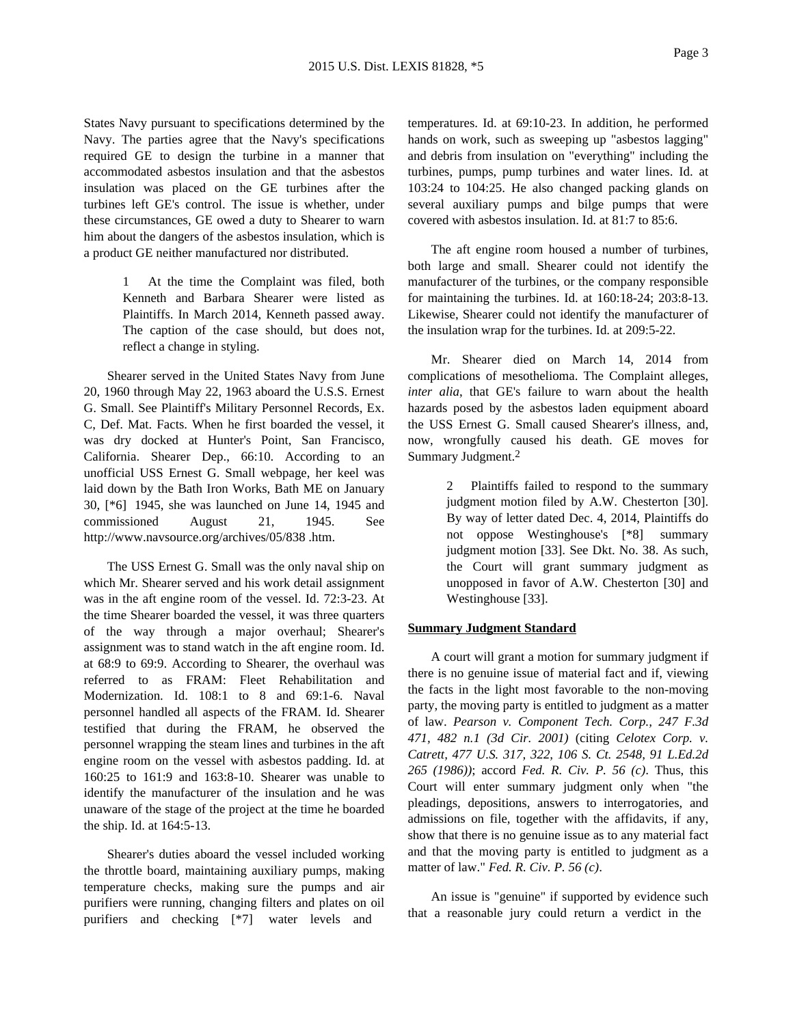States Navy pursuant to specifications determined by the Navy. The parties agree that the Navy's specifications required GE to design the turbine in a manner that accommodated asbestos insulation and that the asbestos insulation was placed on the GE turbines after the turbines left GE's control. The issue is whether, under these circumstances, GE owed a duty to Shearer to warn him about the dangers of the asbestos insulation, which is a product GE neither manufactured nor distributed.

> 1 At the time the Complaint was filed, both Kenneth and Barbara Shearer were listed as Plaintiffs. In March 2014, Kenneth passed away. The caption of the case should, but does not, reflect a change in styling.

Shearer served in the United States Navy from June 20, 1960 through May 22, 1963 aboard the U.S.S. Ernest G. Small. See Plaintiff's Military Personnel Records, Ex. C, Def. Mat. Facts. When he first boarded the vessel, it was dry docked at Hunter's Point, San Francisco, California. Shearer Dep., 66:10. According to an unofficial USS Ernest G. Small webpage, her keel was laid down by the Bath Iron Works, Bath ME on January 30, [\*6] 1945, she was launched on June 14, 1945 and commissioned August 21, 1945. See http://www.navsource.org/archives/05/838 .htm.

The USS Ernest G. Small was the only naval ship on which Mr. Shearer served and his work detail assignment was in the aft engine room of the vessel. Id. 72:3-23. At the time Shearer boarded the vessel, it was three quarters of the way through a major overhaul; Shearer's assignment was to stand watch in the aft engine room. Id. at 68:9 to 69:9. According to Shearer, the overhaul was referred to as FRAM: Fleet Rehabilitation and Modernization. Id. 108:1 to 8 and 69:1-6. Naval personnel handled all aspects of the FRAM. Id. Shearer testified that during the FRAM, he observed the personnel wrapping the steam lines and turbines in the aft engine room on the vessel with asbestos padding. Id. at 160:25 to 161:9 and 163:8-10. Shearer was unable to identify the manufacturer of the insulation and he was unaware of the stage of the project at the time he boarded the ship. Id. at 164:5-13.

Shearer's duties aboard the vessel included working the throttle board, maintaining auxiliary pumps, making temperature checks, making sure the pumps and air purifiers were running, changing filters and plates on oil purifiers and checking [\*7] water levels and

temperatures. Id. at 69:10-23. In addition, he performed hands on work, such as sweeping up "asbestos lagging" and debris from insulation on "everything" including the turbines, pumps, pump turbines and water lines. Id. at 103:24 to 104:25. He also changed packing glands on several auxiliary pumps and bilge pumps that were covered with asbestos insulation. Id. at 81:7 to 85:6.

The aft engine room housed a number of turbines, both large and small. Shearer could not identify the manufacturer of the turbines, or the company responsible for maintaining the turbines. Id. at 160:18-24; 203:8-13. Likewise, Shearer could not identify the manufacturer of the insulation wrap for the turbines. Id. at 209:5-22.

Mr. Shearer died on March 14, 2014 from complications of mesothelioma. The Complaint alleges, *inter alia*, that GE's failure to warn about the health hazards posed by the asbestos laden equipment aboard the USS Ernest G. Small caused Shearer's illness, and, now, wrongfully caused his death. GE moves for Summary Judgment.2

> 2 Plaintiffs failed to respond to the summary judgment motion filed by A.W. Chesterton [30]. By way of letter dated Dec. 4, 2014, Plaintiffs do not oppose Westinghouse's [\*8] summary judgment motion [33]. See Dkt. No. 38. As such, the Court will grant summary judgment as unopposed in favor of A.W. Chesterton [30] and Westinghouse [33].

#### **Summary Judgment Standard**

A court will grant a motion for summary judgment if there is no genuine issue of material fact and if, viewing the facts in the light most favorable to the non-moving party, the moving party is entitled to judgment as a matter of law. *Pearson v. Component Tech. Corp., 247 F.3d 471, 482 n.1 (3d Cir. 2001)* (citing *Celotex Corp. v. Catrett, 477 U.S. 317, 322, 106 S. Ct. 2548, 91 L.Ed.2d 265 (1986))*; accord *Fed. R. Civ. P. 56 (c)*. Thus, this Court will enter summary judgment only when "the pleadings, depositions, answers to interrogatories, and admissions on file, together with the affidavits, if any, show that there is no genuine issue as to any material fact and that the moving party is entitled to judgment as a matter of law." *Fed. R. Civ. P. 56 (c)*.

An issue is "genuine" if supported by evidence such that a reasonable jury could return a verdict in the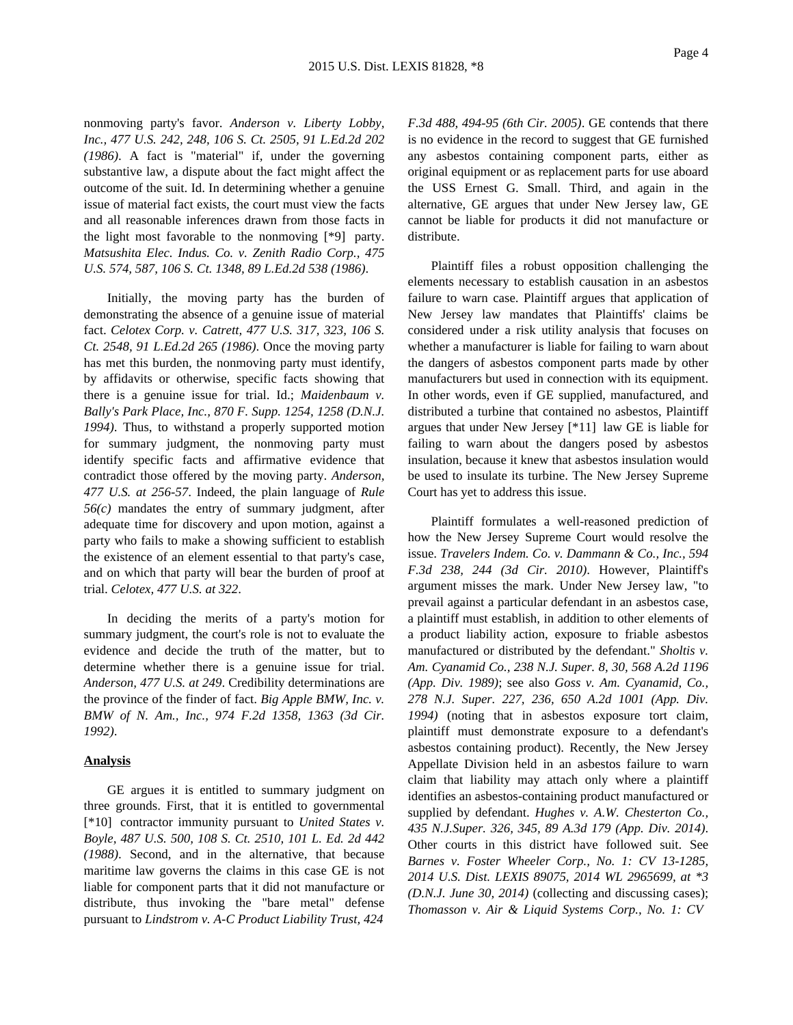nonmoving party's favor. *Anderson v. Liberty Lobby, Inc., 477 U.S. 242, 248, 106 S. Ct. 2505, 91 L.Ed.2d 202 (1986)*. A fact is "material" if, under the governing substantive law, a dispute about the fact might affect the outcome of the suit. Id. In determining whether a genuine issue of material fact exists, the court must view the facts and all reasonable inferences drawn from those facts in the light most favorable to the nonmoving [\*9] party. *Matsushita Elec. Indus. Co. v. Zenith Radio Corp., 475 U.S. 574, 587, 106 S. Ct. 1348, 89 L.Ed.2d 538 (1986)*.

Initially, the moving party has the burden of demonstrating the absence of a genuine issue of material fact. *Celotex Corp. v. Catrett, 477 U.S. 317, 323, 106 S. Ct. 2548, 91 L.Ed.2d 265 (1986)*. Once the moving party has met this burden, the nonmoving party must identify, by affidavits or otherwise, specific facts showing that there is a genuine issue for trial. Id.; *Maidenbaum v. Bally's Park Place, Inc., 870 F. Supp. 1254, 1258 (D.N.J. 1994)*. Thus, to withstand a properly supported motion for summary judgment, the nonmoving party must identify specific facts and affirmative evidence that contradict those offered by the moving party. *Anderson, 477 U.S. at 256-57*. Indeed, the plain language of *Rule 56(c)* mandates the entry of summary judgment, after adequate time for discovery and upon motion, against a party who fails to make a showing sufficient to establish the existence of an element essential to that party's case, and on which that party will bear the burden of proof at trial. *Celotex, 477 U.S. at 322*.

In deciding the merits of a party's motion for summary judgment, the court's role is not to evaluate the evidence and decide the truth of the matter, but to determine whether there is a genuine issue for trial. *Anderson, 477 U.S. at 249*. Credibility determinations are the province of the finder of fact. *Big Apple BMW, Inc. v. BMW of N. Am., Inc., 974 F.2d 1358, 1363 (3d Cir. 1992)*.

### **Analysis**

GE argues it is entitled to summary judgment on three grounds. First, that it is entitled to governmental [\*10] contractor immunity pursuant to *United States v. Boyle, 487 U.S. 500, 108 S. Ct. 2510, 101 L. Ed. 2d 442 (1988)*. Second, and in the alternative, that because maritime law governs the claims in this case GE is not liable for component parts that it did not manufacture or distribute, thus invoking the "bare metal" defense pursuant to *Lindstrom v. A-C Product Liability Trust, 424* *F.3d 488, 494-95 (6th Cir. 2005)*. GE contends that there is no evidence in the record to suggest that GE furnished any asbestos containing component parts, either as original equipment or as replacement parts for use aboard the USS Ernest G. Small. Third, and again in the alternative, GE argues that under New Jersey law, GE cannot be liable for products it did not manufacture or distribute.

Plaintiff files a robust opposition challenging the elements necessary to establish causation in an asbestos failure to warn case. Plaintiff argues that application of New Jersey law mandates that Plaintiffs' claims be considered under a risk utility analysis that focuses on whether a manufacturer is liable for failing to warn about the dangers of asbestos component parts made by other manufacturers but used in connection with its equipment. In other words, even if GE supplied, manufactured, and distributed a turbine that contained no asbestos, Plaintiff argues that under New Jersey [\*11] law GE is liable for failing to warn about the dangers posed by asbestos insulation, because it knew that asbestos insulation would be used to insulate its turbine. The New Jersey Supreme Court has yet to address this issue.

Plaintiff formulates a well-reasoned prediction of how the New Jersey Supreme Court would resolve the issue. *Travelers Indem. Co. v. Dammann & Co., Inc., 594 F.3d 238, 244 (3d Cir. 2010)*. However, Plaintiff's argument misses the mark. Under New Jersey law, "to prevail against a particular defendant in an asbestos case, a plaintiff must establish, in addition to other elements of a product liability action, exposure to friable asbestos manufactured or distributed by the defendant." *Sholtis v. Am. Cyanamid Co., 238 N.J. Super. 8, 30, 568 A.2d 1196 (App. Div. 1989)*; see also *Goss v. Am. Cyanamid, Co., 278 N.J. Super. 227, 236, 650 A.2d 1001 (App. Div. 1994)* (noting that in asbestos exposure tort claim, plaintiff must demonstrate exposure to a defendant's asbestos containing product). Recently, the New Jersey Appellate Division held in an asbestos failure to warn claim that liability may attach only where a plaintiff identifies an asbestos-containing product manufactured or supplied by defendant. *Hughes v. A.W. Chesterton Co., 435 N.J.Super. 326, 345, 89 A.3d 179 (App. Div. 2014)*. Other courts in this district have followed suit. See *Barnes v. Foster Wheeler Corp., No. 1: CV 13-1285, 2014 U.S. Dist. LEXIS 89075, 2014 WL 2965699, at \*3 (D.N.J. June 30, 2014)* (collecting and discussing cases); *Thomasson v. Air & Liquid Systems Corp., No. 1: CV*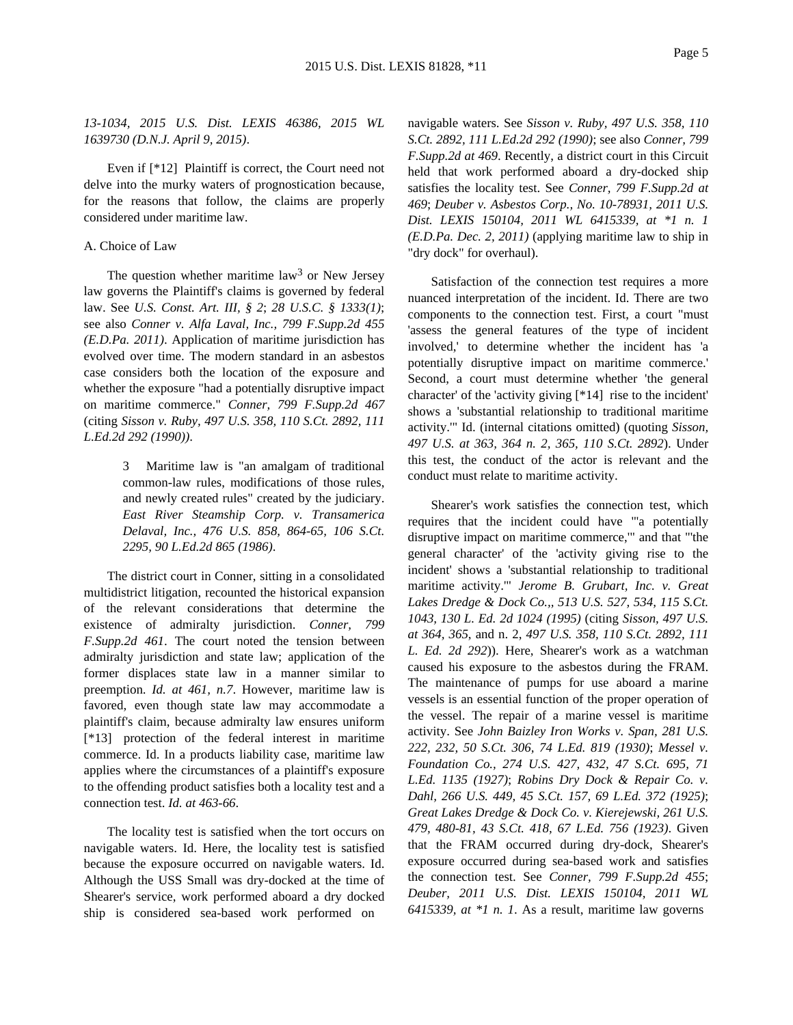*13-1034, 2015 U.S. Dist. LEXIS 46386, 2015 WL 1639730 (D.N.J. April 9, 2015)*.

Even if [\*12] Plaintiff is correct, the Court need not delve into the murky waters of prognostication because, for the reasons that follow, the claims are properly considered under maritime law.

# A. Choice of Law

The question whether maritime law<sup>3</sup> or New Jersey law governs the Plaintiff's claims is governed by federal law. See *U.S. Const. Art. III, § 2*; *28 U.S.C. § 1333(1)*; see also *Conner v. Alfa Laval, Inc., 799 F.Supp.2d 455 (E.D.Pa. 2011)*. Application of maritime jurisdiction has evolved over time. The modern standard in an asbestos case considers both the location of the exposure and whether the exposure "had a potentially disruptive impact on maritime commerce." *Conner, 799 F.Supp.2d 467* (citing *Sisson v. Ruby, 497 U.S. 358, 110 S.Ct. 2892, 111 L.Ed.2d 292 (1990))*.

> 3 Maritime law is "an amalgam of traditional common-law rules, modifications of those rules, and newly created rules" created by the judiciary. *East River Steamship Corp. v. Transamerica Delaval, Inc., 476 U.S. 858, 864-65, 106 S.Ct. 2295, 90 L.Ed.2d 865 (1986)*.

The district court in Conner, sitting in a consolidated multidistrict litigation, recounted the historical expansion of the relevant considerations that determine the existence of admiralty jurisdiction. *Conner, 799 F.Supp.2d 461*. The court noted the tension between admiralty jurisdiction and state law; application of the former displaces state law in a manner similar to preemption. *Id. at 461, n.7*. However, maritime law is favored, even though state law may accommodate a plaintiff's claim, because admiralty law ensures uniform [\*13] protection of the federal interest in maritime commerce. Id. In a products liability case, maritime law applies where the circumstances of a plaintiff's exposure to the offending product satisfies both a locality test and a connection test. *Id. at 463-66*.

The locality test is satisfied when the tort occurs on navigable waters. Id. Here, the locality test is satisfied because the exposure occurred on navigable waters. Id. Although the USS Small was dry-docked at the time of Shearer's service, work performed aboard a dry docked ship is considered sea-based work performed on

navigable waters. See *Sisson v. Ruby, 497 U.S. 358, 110 S.Ct. 2892, 111 L.Ed.2d 292 (1990)*; see also *Conner, 799 F.Supp.2d at 469*. Recently, a district court in this Circuit held that work performed aboard a dry-docked ship satisfies the locality test. See *Conner, 799 F.Supp.2d at 469*; *Deuber v. Asbestos Corp., No. 10-78931, 2011 U.S. Dist. LEXIS 150104, 2011 WL 6415339, at \*1 n. 1 (E.D.Pa. Dec. 2, 2011)* (applying maritime law to ship in "dry dock" for overhaul).

Satisfaction of the connection test requires a more nuanced interpretation of the incident. Id. There are two components to the connection test. First, a court "must 'assess the general features of the type of incident involved,' to determine whether the incident has 'a potentially disruptive impact on maritime commerce.' Second, a court must determine whether 'the general character' of the 'activity giving [\*14] rise to the incident' shows a 'substantial relationship to traditional maritime activity.'" Id. (internal citations omitted) (quoting *Sisson, 497 U.S. at 363, 364 n. 2, 365, 110 S.Ct. 2892*). Under this test, the conduct of the actor is relevant and the conduct must relate to maritime activity.

Shearer's work satisfies the connection test, which requires that the incident could have "'a potentially disruptive impact on maritime commerce,'" and that "'the general character' of the 'activity giving rise to the incident' shows a 'substantial relationship to traditional maritime activity.'" *Jerome B. Grubart, Inc. v. Great Lakes Dredge & Dock Co.,, 513 U.S. 527, 534, 115 S.Ct. 1043, 130 L. Ed. 2d 1024 (1995)* (citing *Sisson, 497 U.S. at 364, 365*, and n. 2, *497 U.S. 358, 110 S.Ct. 2892, 111 L. Ed. 2d 292*)). Here, Shearer's work as a watchman caused his exposure to the asbestos during the FRAM. The maintenance of pumps for use aboard a marine vessels is an essential function of the proper operation of the vessel. The repair of a marine vessel is maritime activity. See *John Baizley Iron Works v. Span, 281 U.S. 222, 232, 50 S.Ct. 306, 74 L.Ed. 819 (1930)*; *Messel v. Foundation Co., 274 U.S. 427, 432, 47 S.Ct. 695, 71 L.Ed. 1135 (1927)*; *Robins Dry Dock & Repair Co. v. Dahl, 266 U.S. 449, 45 S.Ct. 157, 69 L.Ed. 372 (1925)*; *Great Lakes Dredge & Dock Co. v. Kierejewski, 261 U.S. 479, 480-81, 43 S.Ct. 418, 67 L.Ed. 756 (1923)*. Given that the FRAM occurred during dry-dock, Shearer's exposure occurred during sea-based work and satisfies the connection test. See *Conner, 799 F.Supp.2d 455*; *Deuber, 2011 U.S. Dist. LEXIS 150104, 2011 WL 6415339, at \*1 n. 1*. As a result, maritime law governs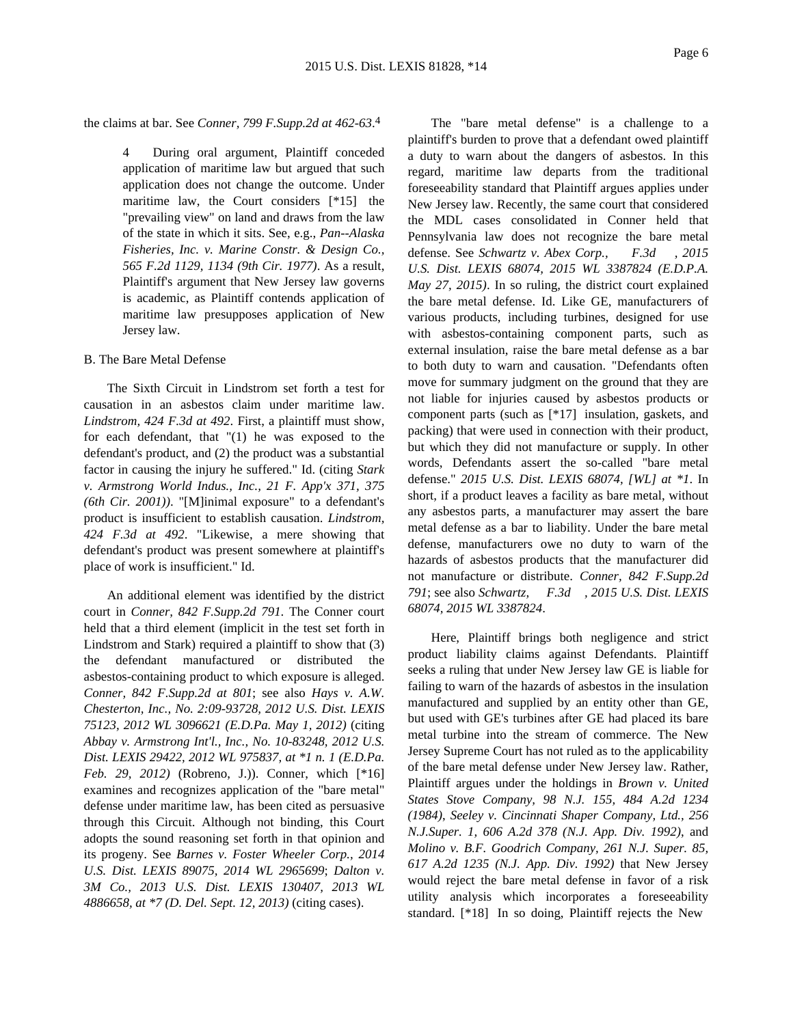the claims at bar. See *Conner, 799 F.Supp.2d at 462-63*. 4

4 During oral argument, Plaintiff conceded application of maritime law but argued that such application does not change the outcome. Under maritime law, the Court considers [\*15] the "prevailing view" on land and draws from the law of the state in which it sits. See, e.g., *Pan--Alaska Fisheries, Inc. v. Marine Constr. & Design Co., 565 F.2d 1129, 1134 (9th Cir. 1977)*. As a result, Plaintiff's argument that New Jersey law governs is academic, as Plaintiff contends application of maritime law presupposes application of New Jersey law.

# B. The Bare Metal Defense

The Sixth Circuit in Lindstrom set forth a test for causation in an asbestos claim under maritime law. *Lindstrom, 424 F.3d at 492*. First, a plaintiff must show, for each defendant, that "(1) he was exposed to the defendant's product, and (2) the product was a substantial factor in causing the injury he suffered." Id. (citing *Stark v. Armstrong World Indus., Inc., 21 F. App'x 371, 375 (6th Cir. 2001))*. "[M]inimal exposure" to a defendant's product is insufficient to establish causation. *Lindstrom, 424 F.3d at 492*. "Likewise, a mere showing that defendant's product was present somewhere at plaintiff's place of work is insufficient." Id.

An additional element was identified by the district court in *Conner, 842 F.Supp.2d 791*. The Conner court held that a third element (implicit in the test set forth in Lindstrom and Stark) required a plaintiff to show that (3) the defendant manufactured or distributed the asbestos-containing product to which exposure is alleged. *Conner, 842 F.Supp.2d at 801*; see also *Hays v. A.W. Chesterton, Inc., No. 2:09-93728, 2012 U.S. Dist. LEXIS 75123, 2012 WL 3096621 (E.D.Pa. May 1, 2012)* (citing *Abbay v. Armstrong Int'l., Inc., No. 10-83248, 2012 U.S. Dist. LEXIS 29422, 2012 WL 975837, at \*1 n. 1 (E.D.Pa. Feb. 29, 2012)* (Robreno, J.)). Conner, which [\*16] examines and recognizes application of the "bare metal" defense under maritime law, has been cited as persuasive through this Circuit. Although not binding, this Court adopts the sound reasoning set forth in that opinion and its progeny. See *Barnes v. Foster Wheeler Corp., 2014 U.S. Dist. LEXIS 89075, 2014 WL 2965699*; *Dalton v. 3M Co., 2013 U.S. Dist. LEXIS 130407, 2013 WL 4886658, at \*7 (D. Del. Sept. 12, 2013)* (citing cases).

The "bare metal defense" is a challenge to a plaintiff's burden to prove that a defendant owed plaintiff a duty to warn about the dangers of asbestos. In this regard, maritime law departs from the traditional foreseeability standard that Plaintiff argues applies under New Jersey law. Recently, the same court that considered the MDL cases consolidated in Conner held that Pennsylvania law does not recognize the bare metal defense. See *Schwartz v. Abex Corp., F.3d , 2015 U.S. Dist. LEXIS 68074, 2015 WL 3387824 (E.D.P.A. May 27, 2015)*. In so ruling, the district court explained the bare metal defense. Id. Like GE, manufacturers of various products, including turbines, designed for use with asbestos-containing component parts, such as external insulation, raise the bare metal defense as a bar to both duty to warn and causation. "Defendants often move for summary judgment on the ground that they are not liable for injuries caused by asbestos products or component parts (such as [\*17] insulation, gaskets, and packing) that were used in connection with their product, but which they did not manufacture or supply. In other words, Defendants assert the so-called "bare metal defense." *2015 U.S. Dist. LEXIS 68074, [WL] at \*1*. In short, if a product leaves a facility as bare metal, without any asbestos parts, a manufacturer may assert the bare metal defense as a bar to liability. Under the bare metal defense, manufacturers owe no duty to warn of the hazards of asbestos products that the manufacturer did not manufacture or distribute. *Conner, 842 F.Supp.2d 791*; see also *Schwartz, F.3d , 2015 U.S. Dist. LEXIS 68074, 2015 WL 3387824*.

Here, Plaintiff brings both negligence and strict product liability claims against Defendants. Plaintiff seeks a ruling that under New Jersey law GE is liable for failing to warn of the hazards of asbestos in the insulation manufactured and supplied by an entity other than GE, but used with GE's turbines after GE had placed its bare metal turbine into the stream of commerce. The New Jersey Supreme Court has not ruled as to the applicability of the bare metal defense under New Jersey law. Rather, Plaintiff argues under the holdings in *Brown v. United States Stove Company, 98 N.J. 155, 484 A.2d 1234 (1984)*, *Seeley v. Cincinnati Shaper Company, Ltd., 256 N.J.Super. 1, 606 A.2d 378 (N.J. App. Div. 1992)*, and *Molino v. B.F. Goodrich Company, 261 N.J. Super. 85, 617 A.2d 1235 (N.J. App. Div. 1992)* that New Jersey would reject the bare metal defense in favor of a risk utility analysis which incorporates a foreseeability standard. [\*18] In so doing, Plaintiff rejects the New